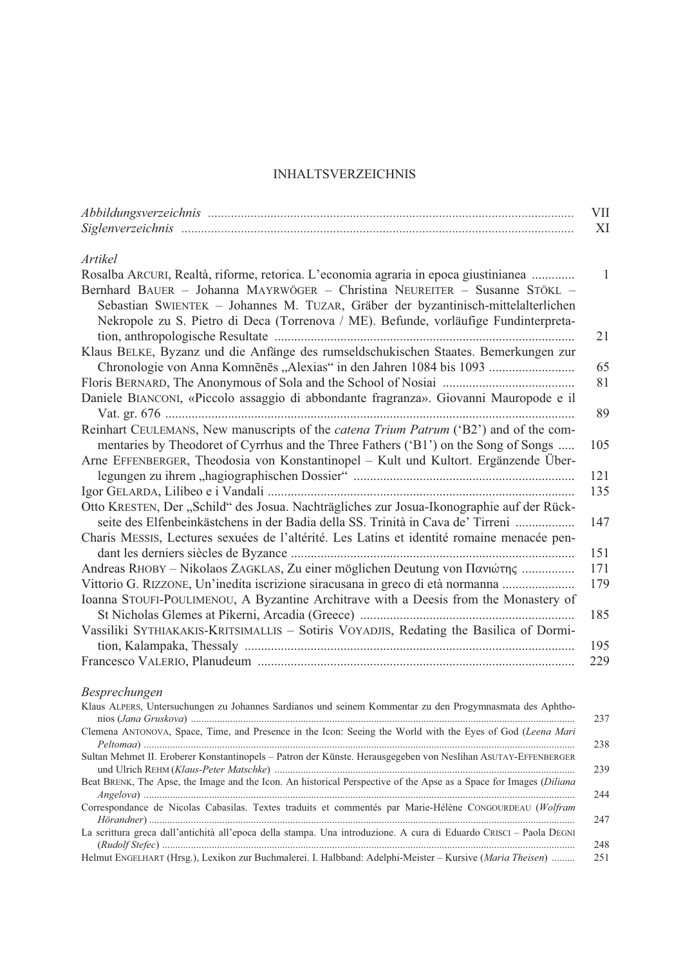## INHALTSVERZEICHNIS

|                                                                                                                                                                                                                                                         | <b>VII</b>   |
|---------------------------------------------------------------------------------------------------------------------------------------------------------------------------------------------------------------------------------------------------------|--------------|
|                                                                                                                                                                                                                                                         | XI           |
| Artikel                                                                                                                                                                                                                                                 |              |
| Rosalba ARCURI, Realtà, riforme, retorica. L'economia agraria in epoca giustinianea                                                                                                                                                                     | $\mathbf{1}$ |
| Bernhard BAUER - Johanna MAYRWÖGER - Christina NEUREITER - Susanne STÖKL -<br>Sebastian SWIENTEK - Johannes M. TUZAR, Gräber der byzantinisch-mittelalterlichen<br>Nekropole zu S. Pietro di Deca (Torrenova / ME). Befunde, vorläufige Fundinterpreta- |              |
|                                                                                                                                                                                                                                                         | 21           |
| Klaus BELKE, Byzanz und die Anfänge des rumseldschukischen Staates. Bemerkungen zur<br>Chronologie von Anna Komnēnēs "Alexias" in den Jahren 1084 bis 1093                                                                                              | 65           |
|                                                                                                                                                                                                                                                         | 81           |
| Daniele BIANCONI, «Piccolo assaggio di abbondante fragranza». Giovanni Mauropode e il                                                                                                                                                                   |              |
|                                                                                                                                                                                                                                                         | 89           |
| Reinhart CEULEMANS, New manuscripts of the catena Trium Patrum ('B2') and of the com-                                                                                                                                                                   |              |
| mentaries by Theodoret of Cyrrhus and the Three Fathers ('B1') on the Song of Songs<br>Arne EFFENBERGER, Theodosia von Konstantinopel - Kult und Kultort. Ergänzende Über-                                                                              | 105          |
|                                                                                                                                                                                                                                                         | 121          |
|                                                                                                                                                                                                                                                         | 135          |
| Otto KRESTEN, Der "Schild" des Josua. Nachträgliches zur Josua-Ikonographie auf der Rück-                                                                                                                                                               |              |
| seite des Elfenbeinkästchens in der Badia della SS. Trinità in Cava de' Tirreni                                                                                                                                                                         | 147          |
| Charis MESSIS, Lectures sexuées de l'altérité. Les Latins et identité romaine menacée pen-                                                                                                                                                              | 151          |
| Andreas RHOBY - Nikolaos ZAGKLAS, Zu einer möglichen Deutung von Πανιώτης                                                                                                                                                                               | 171          |
| Vittorio G. RIZZONE, Un'inedita iscrizione siracusana in greco di età normanna                                                                                                                                                                          | 179          |
| Ioanna STOUFI-POULIMENOU, A Byzantine Architrave with a Deesis from the Monastery of                                                                                                                                                                    |              |
|                                                                                                                                                                                                                                                         | 185          |
| Vassiliki SYTHIAKAKIS-KRITSIMALLIS - Sotiris VOYADJIS, Redating the Basilica of Dormi-                                                                                                                                                                  |              |
|                                                                                                                                                                                                                                                         | 195          |
|                                                                                                                                                                                                                                                         | 229          |
| Besprechungen                                                                                                                                                                                                                                           |              |
| Klaus ALPERS, Untersuchungen zu Johannes Sardianos und seinem Kommentar zu den Progymnasmata des Aphtho-                                                                                                                                                | 237          |
| Clemena ANTONOVA, Space, Time, and Presence in the Icon: Seeing the World with the Eyes of God (Leena Mari                                                                                                                                              | 238          |
| Sultan Mehmet II. Eroberer Konstantinopels - Patron der Künste. Herausgegeben von Neslihan ASUTAY-EFFENBERGER                                                                                                                                           | 239          |
| Beat BRENK, The Apse, the Image and the Icon. An historical Perspective of the Apse as a Space for Images (Diliana                                                                                                                                      |              |
| Correspondance de Nicolas Cabasilas. Textes traduits et commentés par Marie-Hélène CONGOURDEAU (Wolfram                                                                                                                                                 | 244<br>247   |
| La scrittura greca dall'antichità all'epoca della stampa. Una introduzione. A cura di Eduardo CRISCI - Paola DEGNI                                                                                                                                      | 248          |
| Helmut ENGELHART (Hrsg.), Lexikon zur Buchmalerei. I. Halbband: Adelphi-Meister - Kursive (Maria Theisen)                                                                                                                                               | 251          |